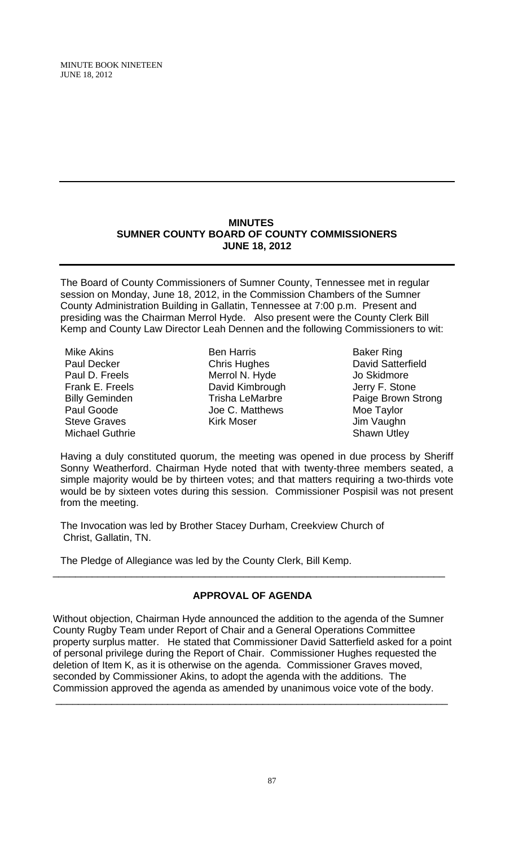## **MINUTES SUMNER COUNTY BOARD OF COUNTY COMMISSIONERS JUNE 18, 2012**

The Board of County Commissioners of Sumner County, Tennessee met in regular session on Monday, June 18, 2012, in the Commission Chambers of the Sumner County Administration Building in Gallatin, Tennessee at 7:00 p.m. Present and presiding was the Chairman Merrol Hyde. Also present were the County Clerk Bill Kemp and County Law Director Leah Dennen and the following Commissioners to wit:

- Mike Akins Paul Decker Paul D. Freels Frank E. Freels Billy Geminden Paul Goode Steve Graves Michael Guthrie
- Ben Harris Chris Hughes Merrol N. Hyde David Kimbrough Trisha LeMarbre Joe C. Matthews Kirk Moser
- Baker Ring David Satterfield Jo Skidmore Jerry F. Stone Paige Brown Strong Moe Taylor Jim Vaughn Shawn Utley

Having a duly constituted quorum, the meeting was opened in due process by Sheriff Sonny Weatherford. Chairman Hyde noted that with twenty-three members seated, a simple majority would be by thirteen votes; and that matters requiring a two-thirds vote would be by sixteen votes during this session. Commissioner Pospisil was not present from the meeting.

The Invocation was led by Brother Stacey Durham, Creekview Church of Christ, Gallatin, TN.

The Pledge of Allegiance was led by the County Clerk, Bill Kemp.

# **APPROVAL OF AGENDA**

\_\_\_\_\_\_\_\_\_\_\_\_\_\_\_\_\_\_\_\_\_\_\_\_\_\_\_\_\_\_\_\_\_\_\_\_\_\_\_\_\_\_\_\_\_\_\_\_\_\_\_\_\_\_\_\_\_\_\_\_\_\_\_\_\_\_\_\_\_\_

Without objection, Chairman Hyde announced the addition to the agenda of the Sumner County Rugby Team under Report of Chair and a General Operations Committee property surplus matter. He stated that Commissioner David Satterfield asked for a point of personal privilege during the Report of Chair. Commissioner Hughes requested the deletion of Item K, as it is otherwise on the agenda. Commissioner Graves moved, seconded by Commissioner Akins, to adopt the agenda with the additions. The Commission approved the agenda as amended by unanimous voice vote of the body.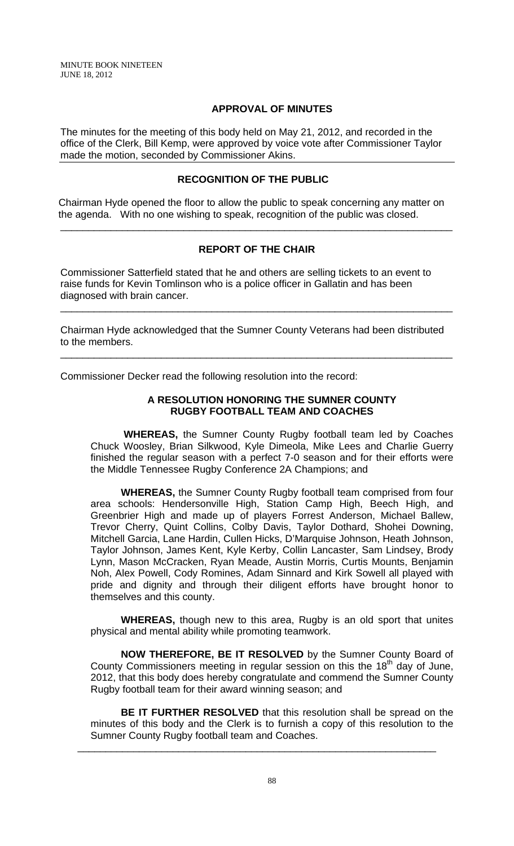## **APPROVAL OF MINUTES**

The minutes for the meeting of this body held on May 21, 2012, and recorded in the office of the Clerk, Bill Kemp, were approved by voice vote after Commissioner Taylor made the motion, seconded by Commissioner Akins.

## **RECOGNITION OF THE PUBLIC**

 Chairman Hyde opened the floor to allow the public to speak concerning any matter on the agenda. With no one wishing to speak, recognition of the public was closed.

## **REPORT OF THE CHAIR**

\_\_\_\_\_\_\_\_\_\_\_\_\_\_\_\_\_\_\_\_\_\_\_\_\_\_\_\_\_\_\_\_\_\_\_\_\_\_\_\_\_\_\_\_\_\_\_\_\_\_\_\_\_\_\_\_\_\_\_\_\_\_\_\_\_\_\_\_\_\_

Commissioner Satterfield stated that he and others are selling tickets to an event to raise funds for Kevin Tomlinson who is a police officer in Gallatin and has been diagnosed with brain cancer.

Chairman Hyde acknowledged that the Sumner County Veterans had been distributed to the members.

\_\_\_\_\_\_\_\_\_\_\_\_\_\_\_\_\_\_\_\_\_\_\_\_\_\_\_\_\_\_\_\_\_\_\_\_\_\_\_\_\_\_\_\_\_\_\_\_\_\_\_\_\_\_\_\_\_\_\_\_\_\_\_\_\_\_\_\_\_\_

\_\_\_\_\_\_\_\_\_\_\_\_\_\_\_\_\_\_\_\_\_\_\_\_\_\_\_\_\_\_\_\_\_\_\_\_\_\_\_\_\_\_\_\_\_\_\_\_\_\_\_\_\_\_\_\_\_\_\_\_\_\_\_\_\_\_\_\_\_\_

Commissioner Decker read the following resolution into the record:

## **A RESOLUTION HONORING THE SUMNER COUNTY RUGBY FOOTBALL TEAM AND COACHES**

 **WHEREAS,** the Sumner County Rugby football team led by Coaches Chuck Woosley, Brian Silkwood, Kyle Dimeola, Mike Lees and Charlie Guerry finished the regular season with a perfect 7-0 season and for their efforts were the Middle Tennessee Rugby Conference 2A Champions; and

**WHEREAS,** the Sumner County Rugby football team comprised from four area schools: Hendersonville High, Station Camp High, Beech High, and Greenbrier High and made up of players Forrest Anderson, Michael Ballew, Trevor Cherry, Quint Collins, Colby Davis, Taylor Dothard, Shohei Downing, Mitchell Garcia, Lane Hardin, Cullen Hicks, D'Marquise Johnson, Heath Johnson, Taylor Johnson, James Kent, Kyle Kerby, Collin Lancaster, Sam Lindsey, Brody Lynn, Mason McCracken, Ryan Meade, Austin Morris, Curtis Mounts, Benjamin Noh, Alex Powell, Cody Romines, Adam Sinnard and Kirk Sowell all played with pride and dignity and through their diligent efforts have brought honor to themselves and this county.

**WHEREAS,** though new to this area, Rugby is an old sport that unites physical and mental ability while promoting teamwork.

**NOW THEREFORE, BE IT RESOLVED** by the Sumner County Board of County Commissioners meeting in regular session on this the  $18<sup>th</sup>$  day of June, 2012, that this body does hereby congratulate and commend the Sumner County Rugby football team for their award winning season; and

**BE IT FURTHER RESOLVED** that this resolution shall be spread on the minutes of this body and the Clerk is to furnish a copy of this resolution to the Sumner County Rugby football team and Coaches.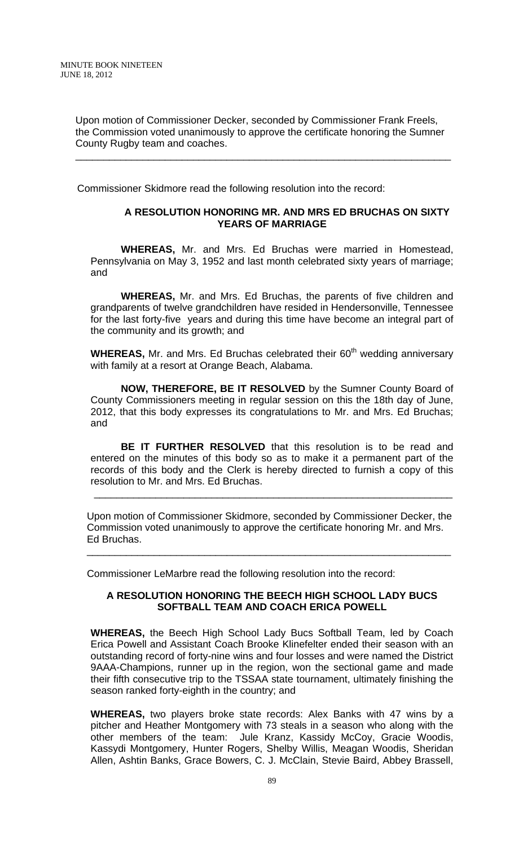Upon motion of Commissioner Decker, seconded by Commissioner Frank Freels, the Commission voted unanimously to approve the certificate honoring the Sumner County Rugby team and coaches.

\_\_\_\_\_\_\_\_\_\_\_\_\_\_\_\_\_\_\_\_\_\_\_\_\_\_\_\_\_\_\_\_\_\_\_\_\_\_\_\_\_\_\_\_\_\_\_\_\_\_\_\_\_\_\_\_\_\_\_\_\_\_\_\_\_\_\_

Commissioner Skidmore read the following resolution into the record:

#### **A RESOLUTION HONORING MR. AND MRS ED BRUCHAS ON SIXTY YEARS OF MARRIAGE**

 **WHEREAS,** Mr. and Mrs. Ed Bruchas were married in Homestead, Pennsylvania on May 3, 1952 and last month celebrated sixty years of marriage; and

**WHEREAS,** Mr. and Mrs. Ed Bruchas, the parents of five children and grandparents of twelve grandchildren have resided in Hendersonville, Tennessee for the last forty-five years and during this time have become an integral part of the community and its growth; and

**WHEREAS,** Mr. and Mrs. Ed Bruchas celebrated their 60<sup>th</sup> wedding anniversary with family at a resort at Orange Beach, Alabama.

**NOW, THEREFORE, BE IT RESOLVED** by the Sumner County Board of County Commissioners meeting in regular session on this the 18th day of June, 2012, that this body expresses its congratulations to Mr. and Mrs. Ed Bruchas; and

**BE IT FURTHER RESOLVED** that this resolution is to be read and entered on the minutes of this body so as to make it a permanent part of the records of this body and the Clerk is hereby directed to furnish a copy of this resolution to Mr. and Mrs. Ed Bruchas.

Upon motion of Commissioner Skidmore, seconded by Commissioner Decker, the Commission voted unanimously to approve the certificate honoring Mr. and Mrs. Ed Bruchas.

\_\_\_\_\_\_\_\_\_\_\_\_\_\_\_\_\_\_\_\_\_\_\_\_\_\_\_\_\_\_\_\_\_\_\_\_\_\_\_\_\_\_\_\_\_\_\_\_\_\_\_\_\_\_\_\_\_\_\_\_\_\_\_\_\_

\_\_\_\_\_\_\_\_\_\_\_\_\_\_\_\_\_\_\_\_\_\_\_\_\_\_\_\_\_\_\_\_\_\_\_\_\_\_\_\_\_\_\_\_\_\_\_\_\_\_\_\_\_\_\_\_\_\_\_\_\_\_\_\_

Commissioner LeMarbre read the following resolution into the record:

## **A RESOLUTION HONORING THE BEECH HIGH SCHOOL LADY BUCS SOFTBALL TEAM AND COACH ERICA POWELL**

**WHEREAS,** the Beech High School Lady Bucs Softball Team, led by Coach Erica Powell and Assistant Coach Brooke Klinefelter ended their season with an outstanding record of forty-nine wins and four losses and were named the District 9AAA-Champions, runner up in the region, won the sectional game and made their fifth consecutive trip to the TSSAA state tournament, ultimately finishing the season ranked forty-eighth in the country; and

**WHEREAS,** two players broke state records: Alex Banks with 47 wins by a pitcher and Heather Montgomery with 73 steals in a season who along with the other members of the team: Jule Kranz, Kassidy McCoy, Gracie Woodis, Kassydi Montgomery, Hunter Rogers, Shelby Willis, Meagan Woodis, Sheridan Allen, Ashtin Banks, Grace Bowers, C. J. McClain, Stevie Baird, Abbey Brassell,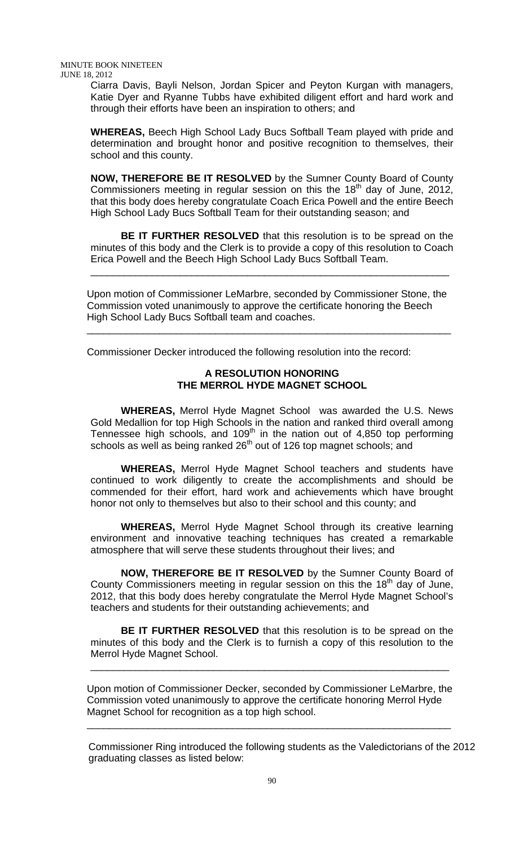Ciarra Davis, Bayli Nelson, Jordan Spicer and Peyton Kurgan with managers, Katie Dyer and Ryanne Tubbs have exhibited diligent effort and hard work and through their efforts have been an inspiration to others; and

**WHEREAS,** Beech High School Lady Bucs Softball Team played with pride and determination and brought honor and positive recognition to themselves, their school and this county.

**NOW, THEREFORE BE IT RESOLVED** by the Sumner County Board of County Commissioners meeting in regular session on this the  $18<sup>th</sup>$  day of June, 2012, that this body does hereby congratulate Coach Erica Powell and the entire Beech High School Lady Bucs Softball Team for their outstanding season; and

**BE IT FURTHER RESOLVED** that this resolution is to be spread on the minutes of this body and the Clerk is to provide a copy of this resolution to Coach Erica Powell and the Beech High School Lady Bucs Softball Team.

\_\_\_\_\_\_\_\_\_\_\_\_\_\_\_\_\_\_\_\_\_\_\_\_\_\_\_\_\_\_\_\_\_\_\_\_\_\_\_\_\_\_\_\_\_\_\_\_\_\_\_\_\_\_\_\_\_\_\_\_\_\_\_\_

Upon motion of Commissioner LeMarbre, seconded by Commissioner Stone, the Commission voted unanimously to approve the certificate honoring the Beech High School Lady Bucs Softball team and coaches.

\_\_\_\_\_\_\_\_\_\_\_\_\_\_\_\_\_\_\_\_\_\_\_\_\_\_\_\_\_\_\_\_\_\_\_\_\_\_\_\_\_\_\_\_\_\_\_\_\_\_\_\_\_\_\_\_\_\_\_\_\_\_\_\_\_

Commissioner Decker introduced the following resolution into the record:

## **A RESOLUTION HONORING THE MERROL HYDE MAGNET SCHOOL**

 **WHEREAS,** Merrol Hyde Magnet School was awarded the U.S. News Gold Medallion for top High Schools in the nation and ranked third overall among Tennessee high schools, and 109th in the nation out of 4,850 top performing schools as well as being ranked 26<sup>th</sup> out of 126 top magnet schools; and

**WHEREAS,** Merrol Hyde Magnet School teachers and students have continued to work diligently to create the accomplishments and should be commended for their effort, hard work and achievements which have brought honor not only to themselves but also to their school and this county; and

**WHEREAS,** Merrol Hyde Magnet School through its creative learning environment and innovative teaching techniques has created a remarkable atmosphere that will serve these students throughout their lives; and

**NOW, THEREFORE BE IT RESOLVED** by the Sumner County Board of County Commissioners meeting in regular session on this the 18<sup>th</sup> day of June, 2012, that this body does hereby congratulate the Merrol Hyde Magnet School's teachers and students for their outstanding achievements; and

**BE IT FURTHER RESOLVED** that this resolution is to be spread on the minutes of this body and the Clerk is to furnish a copy of this resolution to the Merrol Hyde Magnet School.

\_\_\_\_\_\_\_\_\_\_\_\_\_\_\_\_\_\_\_\_\_\_\_\_\_\_\_\_\_\_\_\_\_\_\_\_\_\_\_\_\_\_\_\_\_\_\_\_\_\_\_\_\_\_\_\_\_\_\_\_\_\_\_\_

Upon motion of Commissioner Decker, seconded by Commissioner LeMarbre, the Commission voted unanimously to approve the certificate honoring Merrol Hyde Magnet School for recognition as a top high school.

\_\_\_\_\_\_\_\_\_\_\_\_\_\_\_\_\_\_\_\_\_\_\_\_\_\_\_\_\_\_\_\_\_\_\_\_\_\_\_\_\_\_\_\_\_\_\_\_\_\_\_\_\_\_\_\_\_\_\_\_\_\_\_\_\_

 Commissioner Ring introduced the following students as the Valedictorians of the 2012 graduating classes as listed below: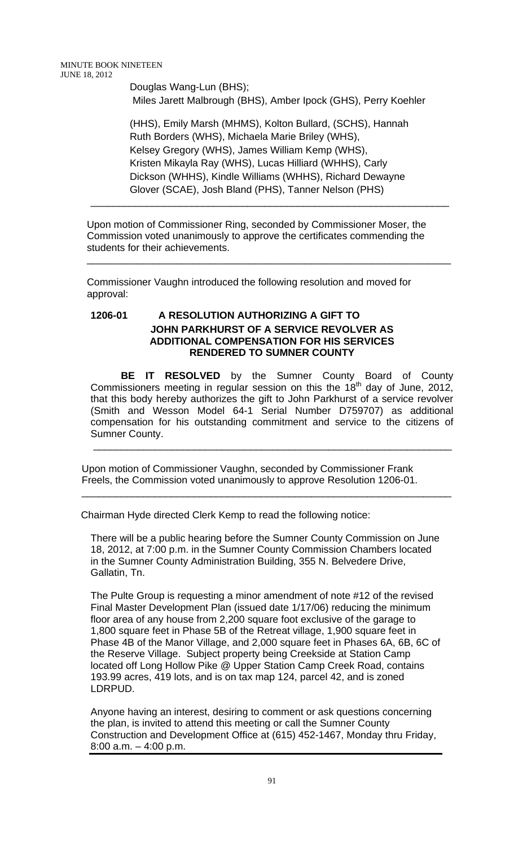Douglas Wang-Lun (BHS); Miles Jarett Malbrough (BHS), Amber Ipock (GHS), Perry Koehler

(HHS), Emily Marsh (MHMS), Kolton Bullard, (SCHS), Hannah Ruth Borders (WHS), Michaela Marie Briley (WHS), Kelsey Gregory (WHS), James William Kemp (WHS), Kristen Mikayla Ray (WHS), Lucas Hilliard (WHHS), Carly Dickson (WHHS), Kindle Williams (WHHS), Richard Dewayne Glover (SCAE), Josh Bland (PHS), Tanner Nelson (PHS)

\_\_\_\_\_\_\_\_\_\_\_\_\_\_\_\_\_\_\_\_\_\_\_\_\_\_\_\_\_\_\_\_\_\_\_\_\_\_\_\_\_\_\_\_\_\_\_\_\_\_\_\_\_\_\_\_\_\_\_\_\_\_\_\_

\_\_\_\_\_\_\_\_\_\_\_\_\_\_\_\_\_\_\_\_\_\_\_\_\_\_\_\_\_\_\_\_\_\_\_\_\_\_\_\_\_\_\_\_\_\_\_\_\_\_\_\_\_\_\_\_\_\_\_\_\_\_\_\_\_

Upon motion of Commissioner Ring, seconded by Commissioner Moser, the Commission voted unanimously to approve the certificates commending the students for their achievements.

Commissioner Vaughn introduced the following resolution and moved for approval:

# **1206-01 A RESOLUTION AUTHORIZING A GIFT TO JOHN PARKHURST OF A SERVICE REVOLVER AS ADDITIONAL COMPENSATION FOR HIS SERVICES RENDERED TO SUMNER COUNTY**

**BE IT RESOLVED** by the Sumner County Board of County Commissioners meeting in regular session on this the  $18<sup>th</sup>$  day of June, 2012, that this body hereby authorizes the gift to John Parkhurst of a service revolver (Smith and Wesson Model 64-1 Serial Number D759707) as additional compensation for his outstanding commitment and service to the citizens of Sumner County.

\_\_\_\_\_\_\_\_\_\_\_\_\_\_\_\_\_\_\_\_\_\_\_\_\_\_\_\_\_\_\_\_\_\_\_\_\_\_\_\_\_\_\_\_\_\_\_\_\_\_\_\_\_\_\_\_\_\_\_\_\_\_\_\_

 Upon motion of Commissioner Vaughn, seconded by Commissioner Frank Freels, the Commission voted unanimously to approve Resolution 1206-01.

 $\overline{\phantom{a}}$  ,  $\overline{\phantom{a}}$  ,  $\overline{\phantom{a}}$  ,  $\overline{\phantom{a}}$  ,  $\overline{\phantom{a}}$  ,  $\overline{\phantom{a}}$  ,  $\overline{\phantom{a}}$  ,  $\overline{\phantom{a}}$  ,  $\overline{\phantom{a}}$  ,  $\overline{\phantom{a}}$  ,  $\overline{\phantom{a}}$  ,  $\overline{\phantom{a}}$  ,  $\overline{\phantom{a}}$  ,  $\overline{\phantom{a}}$  ,  $\overline{\phantom{a}}$  ,  $\overline{\phantom{a}}$ 

Chairman Hyde directed Clerk Kemp to read the following notice:

There will be a public hearing before the Sumner County Commission on June 18, 2012, at 7:00 p.m. in the Sumner County Commission Chambers located in the Sumner County Administration Building, 355 N. Belvedere Drive, Gallatin, Tn.

The Pulte Group is requesting a minor amendment of note #12 of the revised Final Master Development Plan (issued date 1/17/06) reducing the minimum floor area of any house from 2,200 square foot exclusive of the garage to 1,800 square feet in Phase 5B of the Retreat village, 1,900 square feet in Phase 4B of the Manor Village, and 2,000 square feet in Phases 6A, 6B, 6C of the Reserve Village. Subject property being Creekside at Station Camp located off Long Hollow Pike @ Upper Station Camp Creek Road, contains 193.99 acres, 419 lots, and is on tax map 124, parcel 42, and is zoned LDRPUD.

Anyone having an interest, desiring to comment or ask questions concerning the plan, is invited to attend this meeting or call the Sumner County Construction and Development Office at (615) 452-1467, Monday thru Friday, 8:00 a.m. – 4:00 p.m.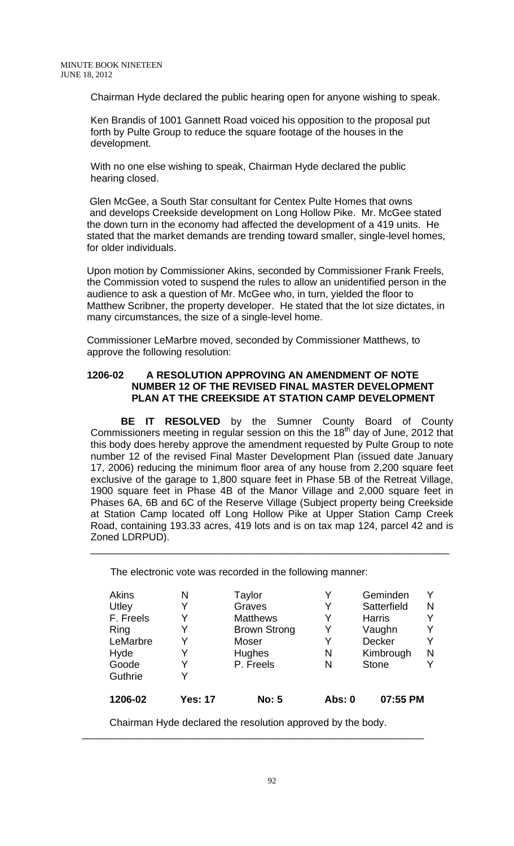Chairman Hyde declared the public hearing open for anyone wishing to speak.

Ken Brandis of 1001 Gannett Road voiced his opposition to the proposal put forth by Pulte Group to reduce the square footage of the houses in the development.

With no one else wishing to speak, Chairman Hyde declared the public hearing closed.

 Glen McGee, a South Star consultant for Centex Pulte Homes that owns and develops Creekside development on Long Hollow Pike. Mr. McGee stated the down turn in the economy had affected the development of a 419 units. He stated that the market demands are trending toward smaller, single-level homes, for older individuals.

Upon motion by Commissioner Akins, seconded by Commissioner Frank Freels, the Commission voted to suspend the rules to allow an unidentified person in the audience to ask a question of Mr. McGee who, in turn, yielded the floor to Matthew Scribner, the property developer. He stated that the lot size dictates, in many circumstances, the size of a single-level home.

Commissioner LeMarbre moved, seconded by Commissioner Matthews, to approve the following resolution:

### **1206-02 A RESOLUTION APPROVING AN AMENDMENT OF NOTE NUMBER 12 OF THE REVISED FINAL MASTER DEVELOPMENT PLAN AT THE CREEKSIDE AT STATION CAMP DEVELOPMENT**

**BE IT RESOLVED** by the Sumner County Board of County Commissioners meeting in regular session on this the  $18<sup>th</sup>$  day of June, 2012 that this body does hereby approve the amendment requested by Pulte Group to note number 12 of the revised Final Master Development Plan (issued date January 17, 2006) reducing the minimum floor area of any house from 2,200 square feet exclusive of the garage to 1,800 square feet in Phase 5B of the Retreat Village, 1900 square feet in Phase 4B of the Manor Village and 2,000 square feet in Phases 6A, 6B and 6C of the Reserve Village (Subject property being Creekside at Station Camp located off Long Hollow Pike at Upper Station Camp Creek Road, containing 193.33 acres, 419 lots and is on tax map 124, parcel 42 and is Zoned LDRPUD).

\_\_\_\_\_\_\_\_\_\_\_\_\_\_\_\_\_\_\_\_\_\_\_\_\_\_\_\_\_\_\_\_\_\_\_\_\_\_\_\_\_\_\_\_\_\_\_\_\_\_\_\_\_\_\_\_\_\_\_\_\_\_\_\_

The electronic vote was recorded in the following manner:

| Akins     | Ν              | Taylor              | Y             | Geminden      |   |
|-----------|----------------|---------------------|---------------|---------------|---|
| Utley     | Y              | Graves              | Y             | Satterfield   | N |
| F. Freels | Y              | <b>Matthews</b>     | Y             | <b>Harris</b> |   |
| Ring      |                | <b>Brown Strong</b> | Y             | Vaughn        |   |
| LeMarbre  | Y              | Moser               | Y             | Decker        | Y |
| Hyde      | Y              | Hughes              | N             | Kimbrough     | N |
| Goode     | Y              | P. Freels           | N             | <b>Stone</b>  |   |
| Guthrie   |                |                     |               |               |   |
| 1206-02   | <b>Yes: 17</b> | <b>No: 5</b>        | <b>Abs: 0</b> | 07:55 PM      |   |

Chairman Hyde declared the resolution approved by the body. \_\_\_\_\_\_\_\_\_\_\_\_\_\_\_\_\_\_\_\_\_\_\_\_\_\_\_\_\_\_\_\_\_\_\_\_\_\_\_\_\_\_\_\_\_\_\_\_\_\_\_\_\_\_\_\_\_\_\_\_\_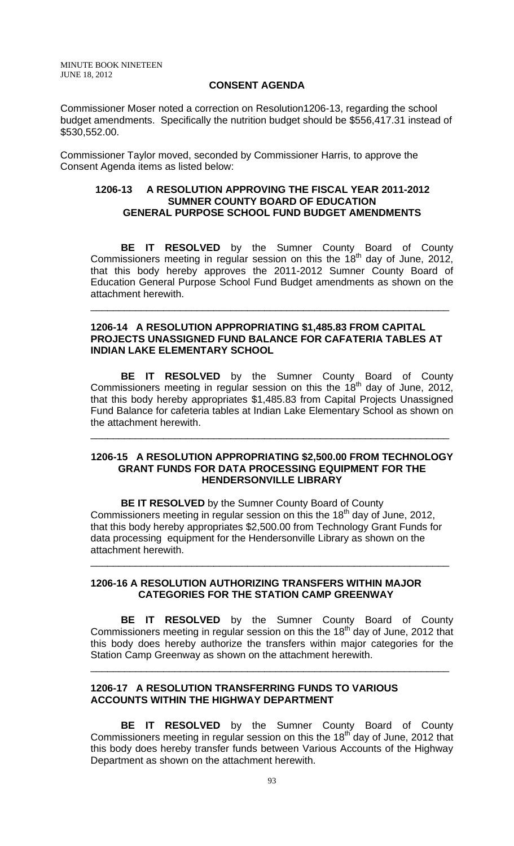#### **CONSENT AGENDA**

Commissioner Moser noted a correction on Resolution1206-13, regarding the school budget amendments. Specifically the nutrition budget should be \$556,417.31 instead of \$530,552.00.

 Commissioner Taylor moved, seconded by Commissioner Harris, to approve the Consent Agenda items as listed below:

## **1206-13 A RESOLUTION APPROVING THE FISCAL YEAR 2011-2012 SUMNER COUNTY BOARD OF EDUCATION GENERAL PURPOSE SCHOOL FUND BUDGET AMENDMENTS**

 **BE IT RESOLVED** by the Sumner County Board of County Commissioners meeting in regular session on this the  $18<sup>th</sup>$  day of June, 2012, that this body hereby approves the 2011-2012 Sumner County Board of Education General Purpose School Fund Budget amendments as shown on the attachment herewith.

\_\_\_\_\_\_\_\_\_\_\_\_\_\_\_\_\_\_\_\_\_\_\_\_\_\_\_\_\_\_\_\_\_\_\_\_\_\_\_\_\_\_\_\_\_\_\_\_\_\_\_\_\_\_\_\_\_\_\_\_\_\_\_\_

## **1206-14 A RESOLUTION APPROPRIATING \$1,485.83 FROM CAPITAL PROJECTS UNASSIGNED FUND BALANCE FOR CAFATERIA TABLES AT INDIAN LAKE ELEMENTARY SCHOOL**

**BE IT RESOLVED** by the Sumner County Board of County Commissioners meeting in regular session on this the  $18<sup>th</sup>$  day of June, 2012, that this body hereby appropriates \$1,485.83 from Capital Projects Unassigned Fund Balance for cafeteria tables at Indian Lake Elementary School as shown on the attachment herewith.

#### **1206-15 A RESOLUTION APPROPRIATING \$2,500.00 FROM TECHNOLOGY GRANT FUNDS FOR DATA PROCESSING EQUIPMENT FOR THE HENDERSONVILLE LIBRARY**

\_\_\_\_\_\_\_\_\_\_\_\_\_\_\_\_\_\_\_\_\_\_\_\_\_\_\_\_\_\_\_\_\_\_\_\_\_\_\_\_\_\_\_\_\_\_\_\_\_\_\_\_\_\_\_\_\_\_\_\_\_\_\_\_

 **BE IT RESOLVED** by the Sumner County Board of County Commissioners meeting in regular session on this the  $18<sup>th</sup>$  day of June, 2012, that this body hereby appropriates \$2,500.00 from Technology Grant Funds for data processing equipment for the Hendersonville Library as shown on the attachment herewith.

\_\_\_\_\_\_\_\_\_\_\_\_\_\_\_\_\_\_\_\_\_\_\_\_\_\_\_\_\_\_\_\_\_\_\_\_\_\_\_\_\_\_\_\_\_\_\_\_\_\_\_\_\_\_\_\_\_\_\_\_\_\_\_\_

### **1206-16 A RESOLUTION AUTHORIZING TRANSFERS WITHIN MAJOR CATEGORIES FOR THE STATION CAMP GREENWAY**

**BE IT RESOLVED** by the Sumner County Board of County Commissioners meeting in regular session on this the  $18<sup>th</sup>$  day of June, 2012 that this body does hereby authorize the transfers within major categories for the Station Camp Greenway as shown on the attachment herewith.

\_\_\_\_\_\_\_\_\_\_\_\_\_\_\_\_\_\_\_\_\_\_\_\_\_\_\_\_\_\_\_\_\_\_\_\_\_\_\_\_\_\_\_\_\_\_\_\_\_\_\_\_\_\_\_\_\_\_\_\_\_\_\_\_

## **1206-17 A RESOLUTION TRANSFERRING FUNDS TO VARIOUS ACCOUNTS WITHIN THE HIGHWAY DEPARTMENT**

 **BE IT RESOLVED** by the Sumner County Board of County Commissioners meeting in regular session on this the 18<sup>th</sup> day of June, 2012 that this body does hereby transfer funds between Various Accounts of the Highway Department as shown on the attachment herewith.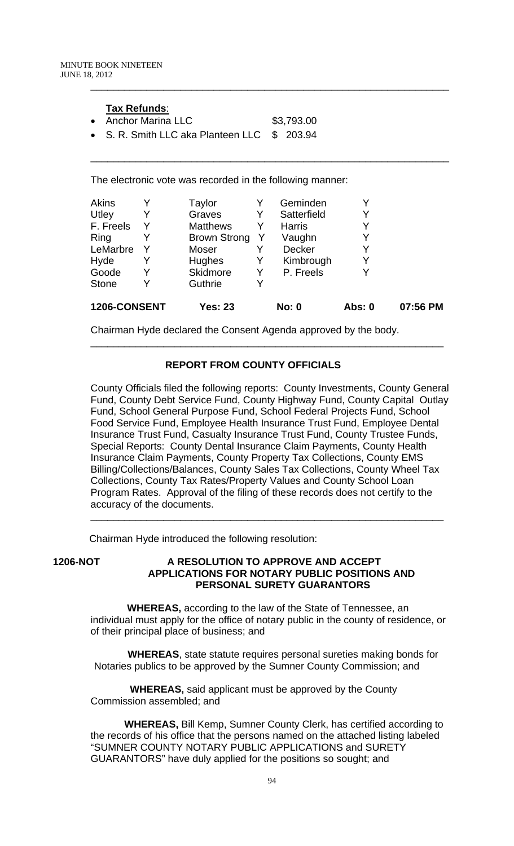### **Tax Refunds**:

- Anchor Marina LLC \$3,793.00
- S. R. Smith LLC aka Planteen LLC \$ 203.94

The electronic vote was recorded in the following manner:

|   |                     |   |               | Abs: 0                                  | 07:56 PM |
|---|---------------------|---|---------------|-----------------------------------------|----------|
| Y | Guthrie             | Y |               |                                         |          |
| Y | Skidmore            | Y | P. Freels     | v                                       |          |
| Y | <b>Hughes</b>       | Y | Kimbrough     | Y                                       |          |
|   | Moser               |   | <b>Decker</b> | Y                                       |          |
|   | <b>Brown Strong</b> | Y | Vaughn        | Y                                       |          |
| Y | <b>Matthews</b>     | Y | <b>Harris</b> | Y                                       |          |
| Y | Graves              | Y | Satterfield   | Y                                       |          |
| Y | Taylor              | Y | Geminden      | Y                                       |          |
|   |                     |   |               | 1206-CONSENT<br>Yes: 23<br><b>No: 0</b> |          |

\_\_\_\_\_\_\_\_\_\_\_\_\_\_\_\_\_\_\_\_\_\_\_\_\_\_\_\_\_\_\_\_\_\_\_\_\_\_\_\_\_\_\_\_\_\_\_\_\_\_\_\_\_\_\_\_\_\_\_\_\_\_\_\_

Chairman Hyde declared the Consent Agenda approved by the body.

## **REPORT FROM COUNTY OFFICIALS**

\_\_\_\_\_\_\_\_\_\_\_\_\_\_\_\_\_\_\_\_\_\_\_\_\_\_\_\_\_\_\_\_\_\_\_\_\_\_\_\_\_\_\_\_\_\_\_\_\_\_\_\_\_\_\_\_\_\_\_\_\_\_\_

County Officials filed the following reports: County Investments, County General Fund, County Debt Service Fund, County Highway Fund, County Capital Outlay Fund, School General Purpose Fund, School Federal Projects Fund, School Food Service Fund, Employee Health Insurance Trust Fund, Employee Dental Insurance Trust Fund, Casualty Insurance Trust Fund, County Trustee Funds, Special Reports: County Dental Insurance Claim Payments, County Health Insurance Claim Payments, County Property Tax Collections, County EMS Billing/Collections/Balances, County Sales Tax Collections, County Wheel Tax Collections, County Tax Rates/Property Values and County School Loan Program Rates. Approval of the filing of these records does not certify to the accuracy of the documents.

\_\_\_\_\_\_\_\_\_\_\_\_\_\_\_\_\_\_\_\_\_\_\_\_\_\_\_\_\_\_\_\_\_\_\_\_\_\_\_\_\_\_\_\_\_\_\_\_\_\_\_\_\_\_\_\_\_\_\_\_\_\_\_

Chairman Hyde introduced the following resolution:

## **1206-NOT A RESOLUTION TO APPROVE AND ACCEPT APPLICATIONS FOR NOTARY PUBLIC POSITIONS AND PERSONAL SURETY GUARANTORS**

 **WHEREAS,** according to the law of the State of Tennessee, an individual must apply for the office of notary public in the county of residence, or of their principal place of business; and

 **WHEREAS**, state statute requires personal sureties making bonds for Notaries publics to be approved by the Sumner County Commission; and

 **WHEREAS,** said applicant must be approved by the County Commission assembled; and

 **WHEREAS,** Bill Kemp, Sumner County Clerk, has certified according to the records of his office that the persons named on the attached listing labeled "SUMNER COUNTY NOTARY PUBLIC APPLICATIONS and SURETY GUARANTORS" have duly applied for the positions so sought; and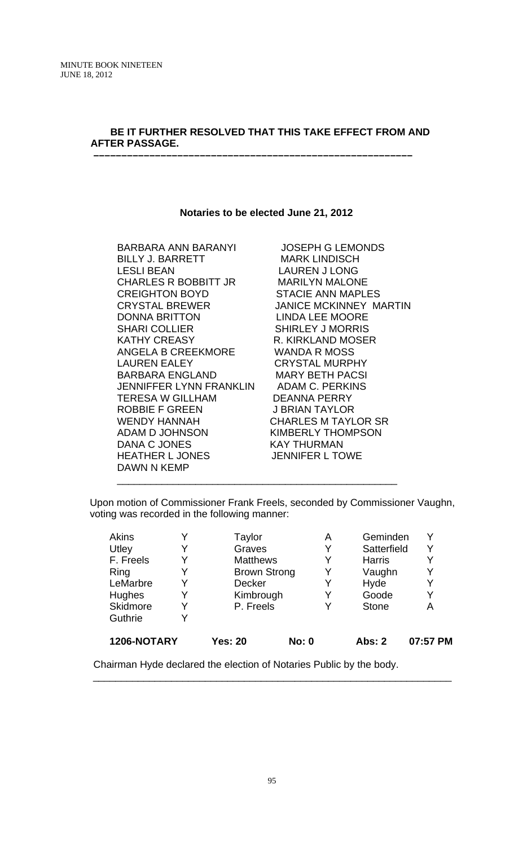## **BE IT FURTHER RESOLVED THAT THIS TAKE EFFECT FROM AND AFTER PASSAGE. –––––––––––––––––––––––––––––––––––––––––––––––––––––––––**

#### **Notaries to be elected June 21, 2012**

BARBARA ANN BARANYI JOSEPH G LEMONDS BILLY J. BARRETT MARK LINDISCH LESLI BEAN LAUREN J LONG CHARLES R BOBBITT JR MARILYN MALONE CREIGHTON BOYD STACIE ANN MAPLES DONNA BRITTON LINDA LEE MOORE SHARI COLLIER SHIRLEY J MORRIS KATHY CREASY R. KIRKLAND MOSER ANGELA B CREEKMORE WANDA R MOSS LAUREN EALEY CRYSTAL MURPHY BARBARA ENGLAND MARY BETH PACSI JENNIFFER LYNN FRANKLIN ADAM C. PERKINS TERESA W GILLHAM DEANNA PERRY ROBBIE F GREEN J BRIAN TAYLOR WENDY HANNAH CHARLES M TAYLOR SR ADAM D JOHNSON KIMBERLY THOMPSON DANA C JONES KAY THURMAN HEATHER L JONES JENNIFER L TOWE DAWN N KEMP

CRYSTAL BREWER JANICE MCKINNEY MARTIN

 Upon motion of Commissioner Frank Freels, seconded by Commissioner Vaughn, voting was recorded in the following manner:

\_\_\_\_\_\_\_\_\_\_\_\_\_\_\_\_\_\_\_\_\_\_\_\_\_\_\_\_\_\_\_\_\_\_\_\_\_\_\_\_\_\_\_\_\_\_\_\_\_\_

| Akins       |   | Taylor              |              | Α | Geminden      | Y        |
|-------------|---|---------------------|--------------|---|---------------|----------|
| Utley       | Y | Graves              |              | Y | Satterfield   | Y        |
| F. Freels   | Y | <b>Matthews</b>     |              | Y | <b>Harris</b> | Y        |
| Ring        | Y | <b>Brown Strong</b> |              | Y | Vaughn        | Y        |
| LeMarbre    | Y | <b>Decker</b>       |              | Y | Hyde          | Y        |
| Hughes      | Y | Kimbrough           |              | Y | Goode         | Y        |
| Skidmore    | Y | P. Freels           |              |   | <b>Stone</b>  | Α        |
| Guthrie     |   |                     |              |   |               |          |
| 1206-NOTARY |   | <b>Yes: 20</b>      | <b>No: 0</b> |   | <b>Abs: 2</b> | 07:57 PM |

Chairman Hyde declared the election of Notaries Public by the body.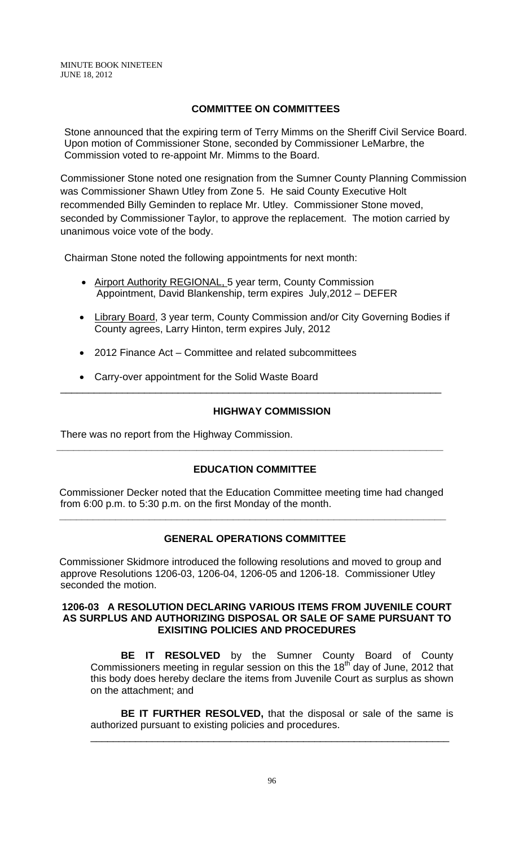# **COMMITTEE ON COMMITTEES**

Stone announced that the expiring term of Terry Mimms on the Sheriff Civil Service Board. Upon motion of Commissioner Stone, seconded by Commissioner LeMarbre, the Commission voted to re-appoint Mr. Mimms to the Board.

Commissioner Stone noted one resignation from the Sumner County Planning Commission was Commissioner Shawn Utley from Zone 5. He said County Executive Holt recommended Billy Geminden to replace Mr. Utley.Commissioner Stone moved, seconded by Commissioner Taylor, to approve the replacement. The motion carried by unanimous voice vote of the body.

Chairman Stone noted the following appointments for next month:

- Airport Authority REGIONAL, 5 year term, County Commission Appointment, David Blankenship, term expires July,2012 – DEFER
- Library Board, 3 year term, County Commission and/or City Governing Bodies if County agrees, Larry Hinton, term expires July, 2012
- 2012 Finance Act Committee and related subcommittees
- Carry-over appointment for the Solid Waste Board

### **HIGHWAY COMMISSION**

There was no report from the Highway Commission.

# **EDUCATION COMMITTEE**

**\_\_\_\_\_\_\_\_\_\_\_\_\_\_\_\_\_\_\_\_\_\_\_\_\_\_\_\_\_\_\_\_\_\_\_\_\_\_\_\_\_\_\_\_\_\_\_\_\_\_\_\_\_\_\_\_\_\_\_\_\_\_\_\_\_\_\_\_\_** 

\_\_\_\_\_\_\_\_\_\_\_\_\_\_\_\_\_\_\_\_\_\_\_\_\_\_\_\_\_\_\_\_\_\_\_\_\_\_\_\_\_\_\_\_\_\_\_\_\_\_\_\_\_\_\_\_\_\_\_\_\_\_\_\_\_\_\_\_

 Commissioner Decker noted that the Education Committee meeting time had changed from 6:00 p.m. to 5:30 p.m. on the first Monday of the month.

 **\_\_\_\_\_\_\_\_\_\_\_\_\_\_\_\_\_\_\_\_\_\_\_\_\_\_\_\_\_\_\_\_\_\_\_\_\_\_\_\_\_\_\_\_\_\_\_\_\_\_\_\_\_\_\_\_\_\_\_\_\_\_\_\_\_\_\_\_\_** 

# **GENERAL OPERATIONS COMMITTEE**

 Commissioner Skidmore introduced the following resolutions and moved to group and approve Resolutions 1206-03, 1206-04, 1206-05 and 1206-18. Commissioner Utley seconded the motion.

#### **1206-03 A RESOLUTION DECLARING VARIOUS ITEMS FROM JUVENILE COURT AS SURPLUS AND AUTHORIZING DISPOSAL OR SALE OF SAME PURSUANT TO EXISITING POLICIES AND PROCEDURES**

 **BE IT RESOLVED** by the Sumner County Board of County Commissioners meeting in regular session on this the  $18<sup>th</sup>$  day of June, 2012 that this body does hereby declare the items from Juvenile Court as surplus as shown on the attachment; and

**BE IT FURTHER RESOLVED,** that the disposal or sale of the same is authorized pursuant to existing policies and procedures.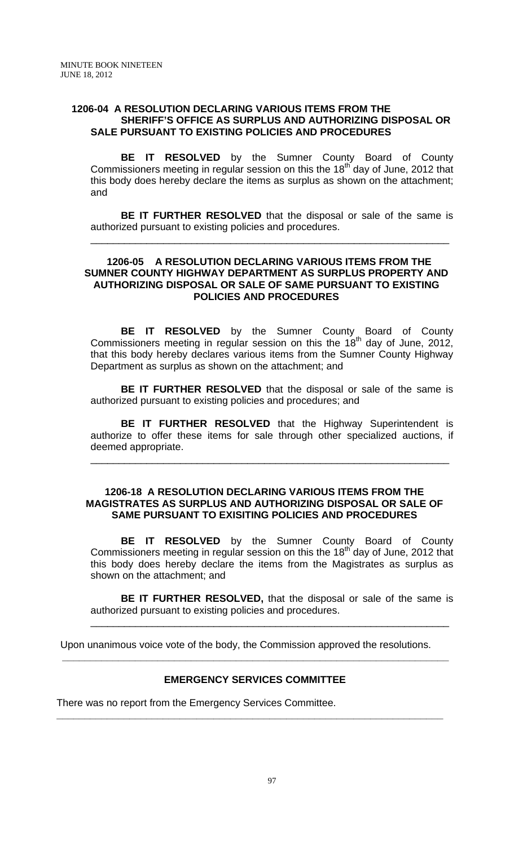## **1206-04 A RESOLUTION DECLARING VARIOUS ITEMS FROM THE SHERIFF'S OFFICE AS SURPLUS AND AUTHORIZING DISPOSAL OR SALE PURSUANT TO EXISTING POLICIES AND PROCEDURES**

 **BE IT RESOLVED** by the Sumner County Board of County Commissioners meeting in regular session on this the  $18<sup>th</sup>$  day of June, 2012 that this body does hereby declare the items as surplus as shown on the attachment; and

**BE IT FURTHER RESOLVED** that the disposal or sale of the same is authorized pursuant to existing policies and procedures.

\_\_\_\_\_\_\_\_\_\_\_\_\_\_\_\_\_\_\_\_\_\_\_\_\_\_\_\_\_\_\_\_\_\_\_\_\_\_\_\_\_\_\_\_\_\_\_\_\_\_\_\_\_\_\_\_\_\_\_\_\_\_\_\_

## **1206-05 A RESOLUTION DECLARING VARIOUS ITEMS FROM THE SUMNER COUNTY HIGHWAY DEPARTMENT AS SURPLUS PROPERTY AND AUTHORIZING DISPOSAL OR SALE OF SAME PURSUANT TO EXISTING POLICIES AND PROCEDURES**

**BE IT RESOLVED** by the Sumner County Board of County Commissioners meeting in regular session on this the  $18<sup>th</sup>$  day of June, 2012, that this body hereby declares various items from the Sumner County Highway Department as surplus as shown on the attachment; and

**BE IT FURTHER RESOLVED** that the disposal or sale of the same is authorized pursuant to existing policies and procedures; and

**BE IT FURTHER RESOLVED** that the Highway Superintendent is authorize to offer these items for sale through other specialized auctions, if deemed appropriate.

\_\_\_\_\_\_\_\_\_\_\_\_\_\_\_\_\_\_\_\_\_\_\_\_\_\_\_\_\_\_\_\_\_\_\_\_\_\_\_\_\_\_\_\_\_\_\_\_\_\_\_\_\_\_\_\_\_\_\_\_\_\_\_\_

#### **1206-18 A RESOLUTION DECLARING VARIOUS ITEMS FROM THE MAGISTRATES AS SURPLUS AND AUTHORIZING DISPOSAL OR SALE OF SAME PURSUANT TO EXISITING POLICIES AND PROCEDURES**

 **BE IT RESOLVED** by the Sumner County Board of County Commissioners meeting in regular session on this the  $18<sup>th</sup>$  day of June, 2012 that this body does hereby declare the items from the Magistrates as surplus as shown on the attachment; and

**BE IT FURTHER RESOLVED,** that the disposal or sale of the same is authorized pursuant to existing policies and procedures.

\_\_\_\_\_\_\_\_\_\_\_\_\_\_\_\_\_\_\_\_\_\_\_\_\_\_\_\_\_\_\_\_\_\_\_\_\_\_\_\_\_\_\_\_\_\_\_\_\_\_\_\_\_\_\_\_\_\_\_\_\_\_\_\_

Upon unanimous voice vote of the body, the Commission approved the resolutions.

# **EMERGENCY SERVICES COMMITTEE**

**\_\_\_\_\_\_\_\_\_\_\_\_\_\_\_\_\_\_\_\_\_\_\_\_\_\_\_\_\_\_\_\_\_\_\_\_\_\_\_\_\_\_\_\_\_\_\_\_\_\_\_\_\_\_\_\_\_\_\_\_\_\_\_\_\_\_\_\_\_** 

 **\_\_\_\_\_\_\_\_\_\_\_\_\_\_\_\_\_\_\_\_\_\_\_\_\_\_\_\_\_\_\_\_\_\_\_\_\_\_\_\_\_\_\_\_\_\_\_\_\_\_\_\_\_\_\_\_\_\_\_\_\_\_\_\_\_\_\_\_\_** 

There was no report from the Emergency Services Committee.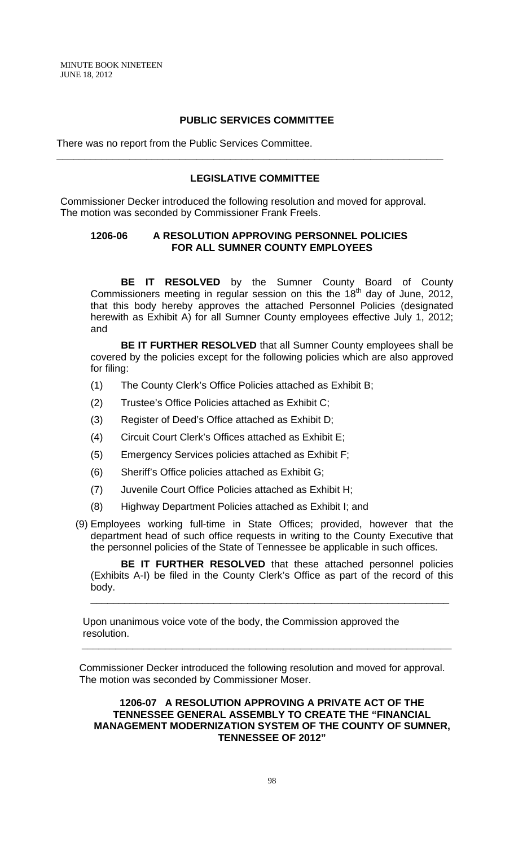# **PUBLIC SERVICES COMMITTEE**

There was no report from the Public Services Committee.

### **LEGISLATIVE COMMITTEE**

**\_\_\_\_\_\_\_\_\_\_\_\_\_\_\_\_\_\_\_\_\_\_\_\_\_\_\_\_\_\_\_\_\_\_\_\_\_\_\_\_\_\_\_\_\_\_\_\_\_\_\_\_\_\_\_\_\_\_\_\_\_\_\_\_\_\_\_\_\_** 

Commissioner Decker introduced the following resolution and moved for approval. The motion was seconded by Commissioner Frank Freels.

### **1206-06 A RESOLUTION APPROVING PERSONNEL POLICIES FOR ALL SUMNER COUNTY EMPLOYEES**

**BE IT RESOLVED** by the Sumner County Board of County Commissioners meeting in regular session on this the  $18<sup>th</sup>$  day of June, 2012, that this body hereby approves the attached Personnel Policies (designated herewith as Exhibit A) for all Sumner County employees effective July 1, 2012; and

**BE IT FURTHER RESOLVED** that all Sumner County employees shall be covered by the policies except for the following policies which are also approved for filing:

- (1) The County Clerk's Office Policies attached as Exhibit B;
- (2) Trustee's Office Policies attached as Exhibit C;
- (3) Register of Deed's Office attached as Exhibit D;
- (4) Circuit Court Clerk's Offices attached as Exhibit E;
- (5) Emergency Services policies attached as Exhibit F;
- (6) Sheriff's Office policies attached as Exhibit G;
- (7) Juvenile Court Office Policies attached as Exhibit H;
- (8) Highway Department Policies attached as Exhibit I; and
- (9) Employees working full-time in State Offices; provided, however that the department head of such office requests in writing to the County Executive that the personnel policies of the State of Tennessee be applicable in such offices.

**BE IT FURTHER RESOLVED** that these attached personnel policies (Exhibits A-I) be filed in the County Clerk's Office as part of the record of this body.

\_\_\_\_\_\_\_\_\_\_\_\_\_\_\_\_\_\_\_\_\_\_\_\_\_\_\_\_\_\_\_\_\_\_\_\_\_\_\_\_\_\_\_\_\_\_\_\_\_\_\_\_\_\_\_\_\_\_\_\_\_\_\_\_

 Upon unanimous voice vote of the body, the Commission approved the resolution.

Commissioner Decker introduced the following resolution and moved for approval. The motion was seconded by Commissioner Moser.

 **\_\_\_\_\_\_\_\_\_\_\_\_\_\_\_\_\_\_\_\_\_\_\_\_\_\_\_\_\_\_\_\_\_\_\_\_\_\_\_\_\_\_\_\_\_\_\_\_\_\_\_\_\_\_\_\_\_\_\_\_\_\_\_\_\_\_** 

## **1206-07 A RESOLUTION APPROVING A PRIVATE ACT OF THE TENNESSEE GENERAL ASSEMBLY TO CREATE THE "FINANCIAL MANAGEMENT MODERNIZATION SYSTEM OF THE COUNTY OF SUMNER, TENNESSEE OF 2012"**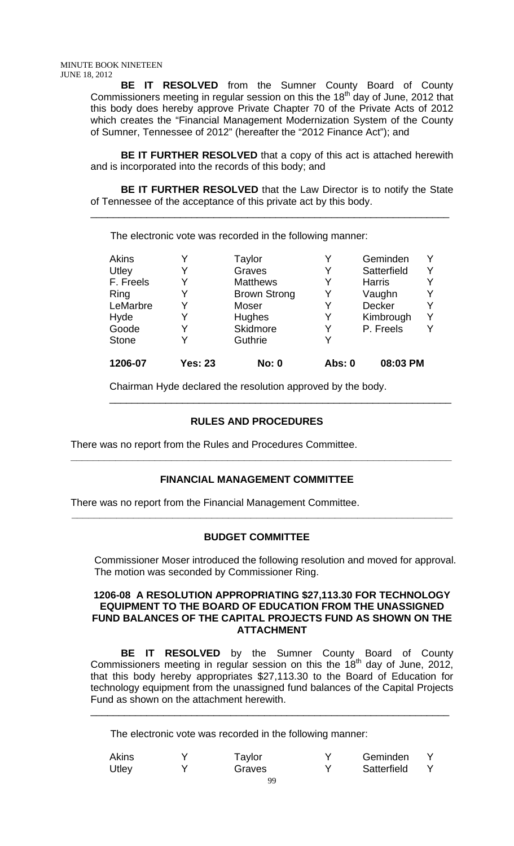**BE IT RESOLVED** from the Sumner County Board of County Commissioners meeting in regular session on this the  $18<sup>th</sup>$  day of June, 2012 that this body does hereby approve Private Chapter 70 of the Private Acts of 2012 which creates the "Financial Management Modernization System of the County of Sumner, Tennessee of 2012" (hereafter the "2012 Finance Act"); and

**BE IT FURTHER RESOLVED** that a copy of this act is attached herewith and is incorporated into the records of this body; and

**BE IT FURTHER RESOLVED** that the Law Director is to notify the State of Tennessee of the acceptance of this private act by this body.

\_\_\_\_\_\_\_\_\_\_\_\_\_\_\_\_\_\_\_\_\_\_\_\_\_\_\_\_\_\_\_\_\_\_\_\_\_\_\_\_\_\_\_\_\_\_\_\_\_\_\_\_\_\_\_\_\_\_\_\_\_\_\_\_

The electronic vote was recorded in the following manner:

| <b>Akins</b> |                | Taylor              | v      | Geminden      |  |
|--------------|----------------|---------------------|--------|---------------|--|
| Utley        |                | Graves              | Y      | Satterfield   |  |
| F. Freels    |                | <b>Matthews</b>     | Y      | <b>Harris</b> |  |
| Ring         |                | <b>Brown Strong</b> | Y      | Vaughn        |  |
| LeMarbre     |                | Moser               | Y      | Decker        |  |
| Hyde         |                | Hughes              | Y      | Kimbrough     |  |
| Goode        | Y              | Skidmore            | Y      | P. Freels     |  |
| <b>Stone</b> |                | Guthrie             |        |               |  |
| 1206-07      | <b>Yes: 23</b> | <b>No: 0</b>        | Abs: 0 | 08:03 PM      |  |

\_\_\_\_\_\_\_\_\_\_\_\_\_\_\_\_\_\_\_\_\_\_\_\_\_\_\_\_\_\_\_\_\_\_\_\_\_\_\_\_\_\_\_\_\_\_\_\_\_\_\_\_\_\_\_\_\_\_\_\_\_

Chairman Hyde declared the resolution approved by the body.

# **RULES AND PROCEDURES**

There was no report from the Rules and Procedures Committee.

## **FINANCIAL MANAGEMENT COMMITTEE**

 **\_\_\_\_\_\_\_\_\_\_\_\_\_\_\_\_\_\_\_\_\_\_\_\_\_\_\_\_\_\_\_\_\_\_\_\_\_\_\_\_\_\_\_\_\_\_\_\_\_\_\_\_\_\_\_\_\_\_\_\_\_\_\_\_\_\_\_\_** 

There was no report from the Financial Management Committee.

# **BUDGET COMMITTEE**

 **\_\_\_\_\_\_\_\_\_\_\_\_\_\_\_\_\_\_\_\_\_\_\_\_\_\_\_\_\_\_\_\_\_\_\_\_\_\_\_\_\_\_\_\_\_\_\_\_\_\_\_\_\_\_\_\_\_\_\_\_\_\_\_\_\_\_\_\_** 

Commissioner Moser introduced the following resolution and moved for approval. The motion was seconded by Commissioner Ring.

#### **1206-08 A RESOLUTION APPROPRIATING \$27,113.30 FOR TECHNOLOGY EQUIPMENT TO THE BOARD OF EDUCATION FROM THE UNASSIGNED FUND BALANCES OF THE CAPITAL PROJECTS FUND AS SHOWN ON THE ATTACHMENT**

**BE IT RESOLVED** by the Sumner County Board of County Commissioners meeting in regular session on this the  $18<sup>th</sup>$  day of June, 2012, that this body hereby appropriates \$27,113.30 to the Board of Education for technology equipment from the unassigned fund balances of the Capital Projects Fund as shown on the attachment herewith.

\_\_\_\_\_\_\_\_\_\_\_\_\_\_\_\_\_\_\_\_\_\_\_\_\_\_\_\_\_\_\_\_\_\_\_\_\_\_\_\_\_\_\_\_\_\_\_\_\_\_\_\_\_\_\_\_\_\_\_\_\_\_\_\_

The electronic vote was recorded in the following manner:

| <b>Akins</b> | Taylor |        | Geminden    |  |  |
|--------------|--------|--------|-------------|--|--|
| Utley        |        | Graves | Satterfield |  |  |
|              |        |        |             |  |  |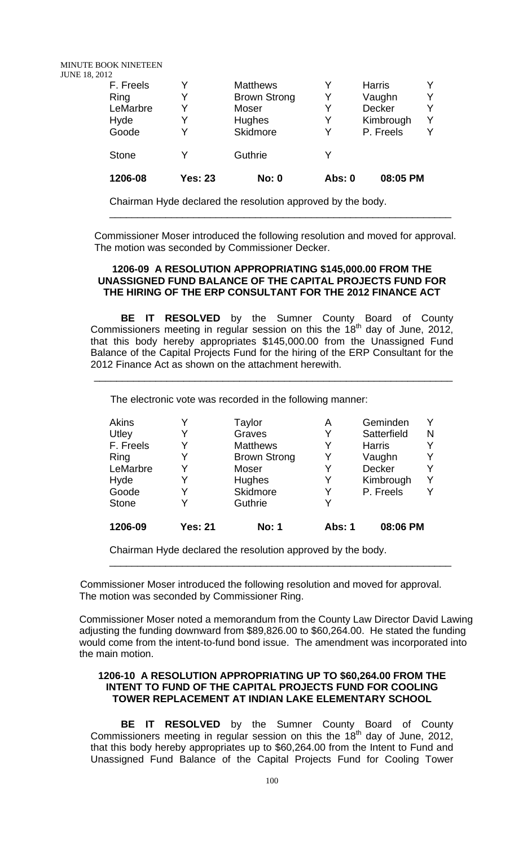MINUTE BOOK NINETEEN

JUNE 18, 2012

| 08:05 PM       |  |
|----------------|--|
|                |  |
| P. Freels<br>v |  |
| v<br>Kimbrough |  |
|                |  |
| Y              |  |
|                |  |
|                |  |

Chairman Hyde declared the resolution approved by the body.

Commissioner Moser introduced the following resolution and moved for approval. The motion was seconded by Commissioner Decker.

\_\_\_\_\_\_\_\_\_\_\_\_\_\_\_\_\_\_\_\_\_\_\_\_\_\_\_\_\_\_\_\_\_\_\_\_\_\_\_\_\_\_\_\_\_\_\_\_\_\_\_\_\_\_\_\_\_\_\_\_\_

#### **1206-09 A RESOLUTION APPROPRIATING \$145,000.00 FROM THE UNASSIGNED FUND BALANCE OF THE CAPITAL PROJECTS FUND FOR THE HIRING OF THE ERP CONSULTANT FOR THE 2012 FINANCE ACT**

**BE IT RESOLVED** by the Sumner County Board of County Commissioners meeting in regular session on this the  $18<sup>th</sup>$  day of June, 2012, that this body hereby appropriates \$145,000.00 from the Unassigned Fund Balance of the Capital Projects Fund for the hiring of the ERP Consultant for the 2012 Finance Act as shown on the attachment herewith.

\_\_\_\_\_\_\_\_\_\_\_\_\_\_\_\_\_\_\_\_\_\_\_\_\_\_\_\_\_\_\_\_\_\_\_\_\_\_\_\_\_\_\_\_\_\_\_\_\_\_\_\_\_\_\_\_\_\_\_\_\_\_\_\_

The electronic vote was recorded in the following manner:

| <b>Akins</b> |                | Taylor              | Α             | Geminden      |   |
|--------------|----------------|---------------------|---------------|---------------|---|
| Utley        |                | Graves              | Y             | Satterfield   | N |
| F. Freels    |                | <b>Matthews</b>     |               | <b>Harris</b> |   |
| Ring         |                | <b>Brown Strong</b> | Y             | Vaughn        |   |
| LeMarbre     |                | Moser               | Y             | Decker        |   |
| Hyde         |                | <b>Hughes</b>       | Y             | Kimbrough     |   |
| Goode        |                | Skidmore            | Y             | P. Freels     |   |
| <b>Stone</b> |                | Guthrie             | Y             |               |   |
| 1206-09      | <b>Yes: 21</b> | <b>No: 1</b>        | <b>Abs: 1</b> | 08:06 PM      |   |

Chairman Hyde declared the resolution approved by the body.

 Commissioner Moser introduced the following resolution and moved for approval. The motion was seconded by Commissioner Ring.

Commissioner Moser noted a memorandum from the County Law Director David Lawing adjusting the funding downward from \$89,826.00 to \$60,264.00. He stated the funding would come from the intent-to-fund bond issue. The amendment was incorporated into the main motion.

\_\_\_\_\_\_\_\_\_\_\_\_\_\_\_\_\_\_\_\_\_\_\_\_\_\_\_\_\_\_\_\_\_\_\_\_\_\_\_\_\_\_\_\_\_\_\_\_\_\_\_\_\_\_\_\_\_\_\_\_\_

## **1206-10 A RESOLUTION APPROPRIATING UP TO \$60,264.00 FROM THE INTENT TO FUND OF THE CAPITAL PROJECTS FUND FOR COOLING TOWER REPLACEMENT AT INDIAN LAKE ELEMENTARY SCHOOL**

**BE IT RESOLVED** by the Sumner County Board of County Commissioners meeting in regular session on this the  $18<sup>th</sup>$  day of June, 2012, that this body hereby appropriates up to \$60,264.00 from the Intent to Fund and Unassigned Fund Balance of the Capital Projects Fund for Cooling Tower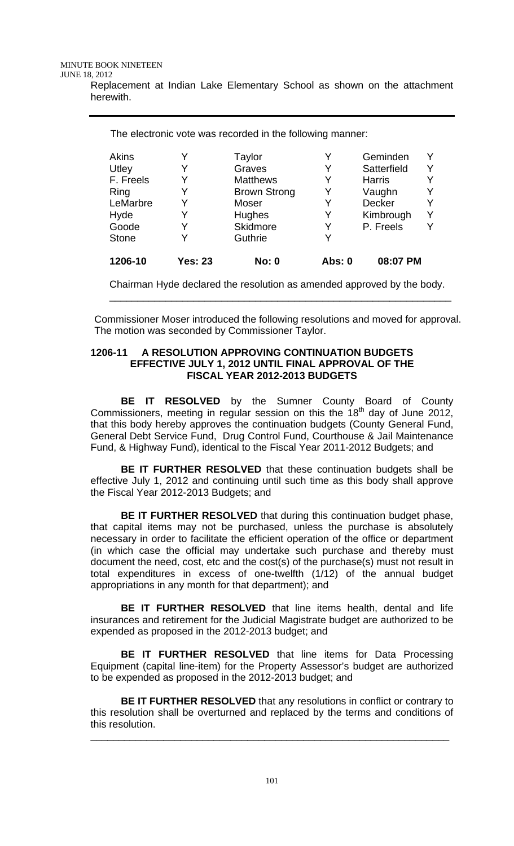The electronic vote was recorded in the following manner:

| 1206-10      | <b>Yes: 23</b> | <b>No: 0</b>        | <b>Abs: 0</b> | 08:07 PM      |  |
|--------------|----------------|---------------------|---------------|---------------|--|
| <b>Stone</b> |                | Guthrie             | Y             |               |  |
| Goode        |                | Skidmore            | Y             | P. Freels     |  |
| Hyde         |                | Hughes              | Y             | Kimbrough     |  |
| LeMarbre     |                | Moser               | Y             | Decker        |  |
| Ring         |                | <b>Brown Strong</b> | Y             | Vaughn        |  |
| F. Freels    |                | <b>Matthews</b>     | Y             | <b>Harris</b> |  |
| Utley        |                | Graves              | Y             | Satterfield   |  |
| Akins        |                | Taylor              | Y             | Geminden      |  |

Chairman Hyde declared the resolution as amended approved by the body. \_\_\_\_\_\_\_\_\_\_\_\_\_\_\_\_\_\_\_\_\_\_\_\_\_\_\_\_\_\_\_\_\_\_\_\_\_\_\_\_\_\_\_\_\_\_\_\_\_\_\_\_\_\_\_\_\_\_\_\_\_

Commissioner Moser introduced the following resolutions and moved for approval. The motion was seconded by Commissioner Taylor.

#### **1206-11 A RESOLUTION APPROVING CONTINUATION BUDGETS EFFECTIVE JULY 1, 2012 UNTIL FINAL APPROVAL OF THE FISCAL YEAR 2012-2013 BUDGETS**

**BE IT RESOLVED** by the Sumner County Board of County Commissioners, meeting in regular session on this the  $18<sup>th</sup>$  day of June 2012, that this body hereby approves the continuation budgets (County General Fund, General Debt Service Fund, Drug Control Fund, Courthouse & Jail Maintenance Fund, & Highway Fund), identical to the Fiscal Year 2011-2012 Budgets; and

**BE IT FURTHER RESOLVED** that these continuation budgets shall be effective July 1, 2012 and continuing until such time as this body shall approve the Fiscal Year 2012-2013 Budgets; and

**BE IT FURTHER RESOLVED** that during this continuation budget phase, that capital items may not be purchased, unless the purchase is absolutely necessary in order to facilitate the efficient operation of the office or department (in which case the official may undertake such purchase and thereby must document the need, cost, etc and the cost(s) of the purchase(s) must not result in total expenditures in excess of one-twelfth (1/12) of the annual budget appropriations in any month for that department); and

**BE IT FURTHER RESOLVED** that line items health, dental and life insurances and retirement for the Judicial Magistrate budget are authorized to be expended as proposed in the 2012-2013 budget; and

**BE IT FURTHER RESOLVED** that line items for Data Processing Equipment (capital line-item) for the Property Assessor's budget are authorized to be expended as proposed in the 2012-2013 budget; and

**BE IT FURTHER RESOLVED** that any resolutions in conflict or contrary to this resolution shall be overturned and replaced by the terms and conditions of this resolution.